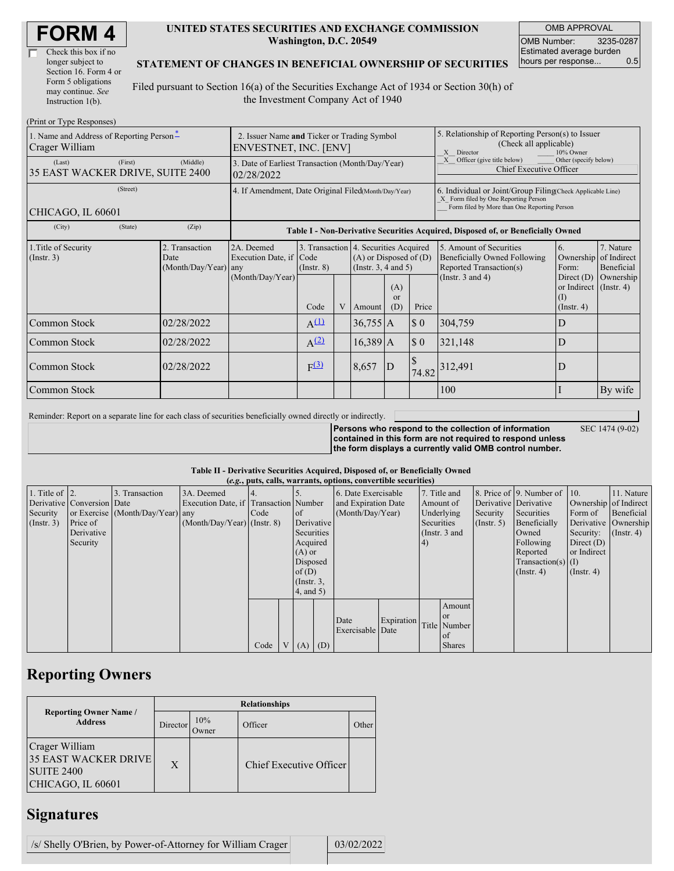| Check this box if no  |  |
|-----------------------|--|
| longer subject to     |  |
| Section 16. Form 4 or |  |
| Form 5 obligations    |  |
| may continue. See     |  |
| Instruction 1(b).     |  |

#### **UNITED STATES SECURITIES AND EXCHANGE COMMISSION Washington, D.C. 20549**

OMB APPROVAL OMB Number: 3235-0287 Estimated average burden hours per response... 0.5

### **STATEMENT OF CHANGES IN BENEFICIAL OWNERSHIP OF SECURITIES**

Filed pursuant to Section 16(a) of the Securities Exchange Act of 1934 or Section 30(h) of the Investment Company Act of 1940

| (Print or Type Responses)                                         |         |                                                  |                                                                      |                                                                                  |              |                                                                                                 |                             |                             |                                                                                                                                                    |                                                          |                                                               |  |
|-------------------------------------------------------------------|---------|--------------------------------------------------|----------------------------------------------------------------------|----------------------------------------------------------------------------------|--------------|-------------------------------------------------------------------------------------------------|-----------------------------|-----------------------------|----------------------------------------------------------------------------------------------------------------------------------------------------|----------------------------------------------------------|---------------------------------------------------------------|--|
| 1. Name and Address of Reporting Person-<br>Crager William        |         |                                                  | 2. Issuer Name and Ticker or Trading Symbol<br>ENVESTNET, INC. [ENV] |                                                                                  |              |                                                                                                 |                             |                             | 5. Relationship of Reporting Person(s) to Issuer<br>(Check all applicable)<br>Director<br>10% Owner<br>X                                           |                                                          |                                                               |  |
| (Middle)<br>(First)<br>(Last)<br>35 EAST WACKER DRIVE, SUITE 2400 |         |                                                  | 3. Date of Earliest Transaction (Month/Day/Year)<br>02/28/2022       |                                                                                  |              |                                                                                                 |                             |                             | Officer (give title below)<br>Other (specify below)<br>Chief Executive Officer                                                                     |                                                          |                                                               |  |
| (Street)<br>CHICAGO, IL 60601                                     |         |                                                  | 4. If Amendment, Date Original Filed(Month/Day/Year)                 |                                                                                  |              |                                                                                                 |                             |                             | 6. Individual or Joint/Group Filing Check Applicable Line)<br>X Form filed by One Reporting Person<br>Form filed by More than One Reporting Person |                                                          |                                                               |  |
| (City)                                                            | (State) | (Zip)                                            |                                                                      | Table I - Non-Derivative Securities Acquired, Disposed of, or Beneficially Owned |              |                                                                                                 |                             |                             |                                                                                                                                                    |                                                          |                                                               |  |
| 1. Title of Security<br>(Insert. 3)                               |         | 2. Transaction<br>Date<br>$(Month/Day/Year)$ any | 2A. Deemed<br>Execution Date, if Code<br>(Month/Day/Year)            | $($ Instr. $8)$                                                                  |              | 3. Transaction 4. Securities Acquired<br>$(A)$ or Disposed of $(D)$<br>(Instr. $3, 4$ and $5$ ) |                             |                             | 5. Amount of Securities<br><b>Beneficially Owned Following</b><br>Reported Transaction(s)<br>(Instr. $3$ and $4$ )                                 | 6.<br>Form:<br>Direct $(D)$                              | 7. Nature<br>Ownership of Indirect<br>Beneficial<br>Ownership |  |
|                                                                   |         |                                                  |                                                                      | Code                                                                             | $\mathbf{V}$ | <b>Amount</b>                                                                                   | (A)<br><sub>or</sub><br>(D) | Price                       |                                                                                                                                                    | or Indirect $($ Instr. 4 $)$<br>$\rm (1)$<br>(Insert, 4) |                                                               |  |
| Common Stock                                                      |         | 02/28/2022                                       |                                                                      | $A^{(1)}$                                                                        |              | $36,755$ A                                                                                      |                             | $\boldsymbol{\mathsf{S}}$ 0 | 304,759                                                                                                                                            | D                                                        |                                                               |  |
| Common Stock                                                      |         | 02/28/2022                                       |                                                                      | A <sup>(2)</sup>                                                                 |              | $16,389$ A                                                                                      |                             | $\boldsymbol{\mathsf{S}}$ 0 | 321,148                                                                                                                                            | D                                                        |                                                               |  |
| Common Stock                                                      |         | 02/28/2022                                       |                                                                      | F <sup>(3)</sup>                                                                 |              | 8,657                                                                                           | D                           | 74.82                       | 312,491                                                                                                                                            | D                                                        |                                                               |  |
| Common Stock                                                      |         |                                                  |                                                                      |                                                                                  |              |                                                                                                 |                             |                             | 100                                                                                                                                                |                                                          | By wife                                                       |  |

Reminder: Report on a separate line for each class of securities beneficially owned directly or indirectly.

SEC 1474 (9-02)

**Persons who respond to the collection of information contained in this form are not required to respond unless the form displays a currently valid OMB control number.**

### **Table II - Derivative Securities Acquired, Disposed of, or Beneficially Owned**

|                        |                            |                                  |                                       |      |                |                 |  | (e.g., puts, calls, warrants, options, convertible securities) |            |            |               |             |                              |                       |                      |
|------------------------|----------------------------|----------------------------------|---------------------------------------|------|----------------|-----------------|--|----------------------------------------------------------------|------------|------------|---------------|-------------|------------------------------|-----------------------|----------------------|
| 1. Title of $\vert$ 2. |                            | 3. Transaction                   | 3A. Deemed                            |      |                |                 |  | 6. Date Exercisable                                            |            |            | 7. Title and  |             | 8. Price of 9. Number of 10. |                       | 11. Nature           |
|                        | Derivative Conversion Date |                                  | Execution Date, if Transaction Number |      |                |                 |  | and Expiration Date                                            |            | Amount of  |               |             | Derivative Derivative        | Ownership of Indirect |                      |
| Security               |                            | or Exercise (Month/Day/Year) any |                                       | Code |                | $\circ$ f       |  | (Month/Day/Year)                                               |            | Underlying |               | Security    | Securities                   | Form of               | Beneficial           |
| $($ Instr. 3 $)$       | Price of                   |                                  | $(Month/Day/Year)$ (Instr. 8)         |      |                | Derivative      |  |                                                                |            | Securities |               | (Insert. 5) | Beneficially                 |                       | Derivative Ownership |
|                        | Derivative                 |                                  |                                       |      |                | Securities      |  |                                                                |            |            | (Instr. 3 and |             | Owned                        | Security:             | $($ Instr. 4 $)$     |
|                        | Security                   |                                  |                                       |      |                | Acquired        |  |                                                                |            | (4)        |               |             | Following                    | Direct $(D)$          |                      |
|                        |                            |                                  |                                       |      |                | $(A)$ or        |  |                                                                |            |            |               |             | Reported                     | or Indirect           |                      |
|                        |                            |                                  |                                       |      |                | Disposed        |  |                                                                |            |            |               |             | Transaction(s) $(I)$         |                       |                      |
|                        |                            |                                  |                                       |      |                | of $(D)$        |  |                                                                |            |            |               |             | $($ Instr. 4 $)$             | $($ Instr. 4 $)$      |                      |
|                        |                            |                                  |                                       |      |                | $($ Instr. $3,$ |  |                                                                |            |            |               |             |                              |                       |                      |
|                        |                            |                                  |                                       |      |                | 4, and 5)       |  |                                                                |            |            |               |             |                              |                       |                      |
|                        |                            |                                  |                                       |      |                |                 |  |                                                                |            |            | Amount        |             |                              |                       |                      |
|                        |                            |                                  |                                       |      |                |                 |  |                                                                |            |            | <b>or</b>     |             |                              |                       |                      |
|                        |                            |                                  |                                       |      |                |                 |  | Date<br>Exercisable Date                                       | Expiration |            | Title Number  |             |                              |                       |                      |
|                        |                            |                                  |                                       |      |                |                 |  |                                                                |            |            | of            |             |                              |                       |                      |
|                        |                            |                                  |                                       | Code | V <sub>1</sub> | $(A)$ $(D)$     |  |                                                                |            |            | <b>Shares</b> |             |                              |                       |                      |

# **Reporting Owners**

|                                                                                         | <b>Relationships</b> |              |                         |       |  |  |  |  |  |
|-----------------------------------------------------------------------------------------|----------------------|--------------|-------------------------|-------|--|--|--|--|--|
| <b>Reporting Owner Name /</b><br><b>Address</b>                                         | Director             | 10%<br>Owner | Officer                 | Other |  |  |  |  |  |
| Crager William<br><b>35 EAST WACKER DRIVE</b><br><b>SUITE 2400</b><br>CHICAGO, IL 60601 | X                    |              | Chief Executive Officer |       |  |  |  |  |  |

### **Signatures**

| /s/ Shelly O'Brien, by Power-of-Attorney for William Crager |  | 03/02/2022 |
|-------------------------------------------------------------|--|------------|
|-------------------------------------------------------------|--|------------|